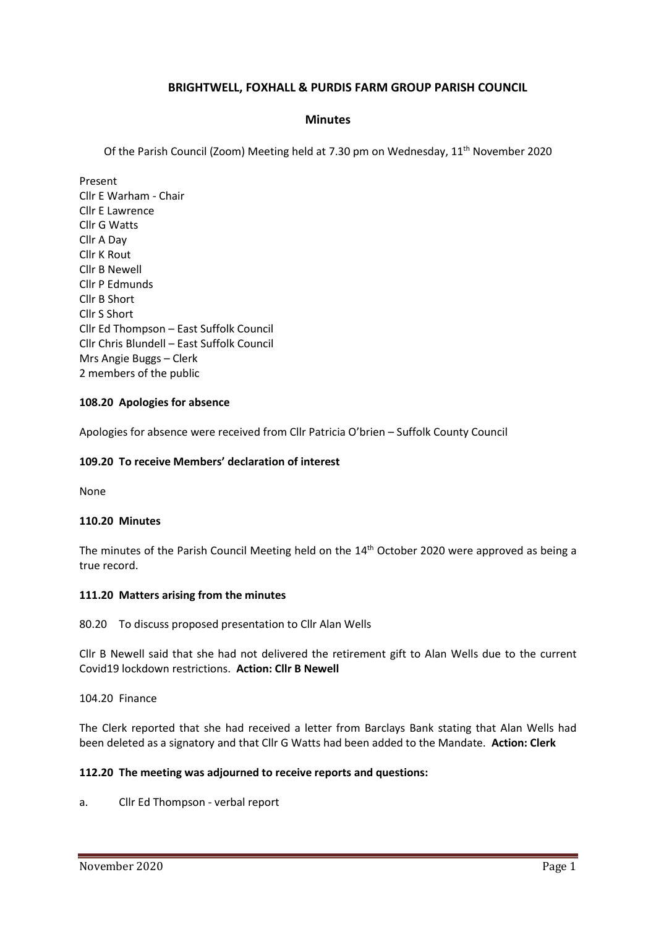# **BRIGHTWELL, FOXHALL & PURDIS FARM GROUP PARISH COUNCIL**

### **Minutes**

Of the Parish Council (Zoom) Meeting held at 7.30 pm on Wednesday, 11<sup>th</sup> November 2020

Present Cllr E Warham - Chair Cllr E Lawrence Cllr G Watts Cllr A Day Cllr K Rout Cllr B Newell Cllr P Edmunds Cllr B Short Cllr S Short Cllr Ed Thompson – East Suffolk Council Cllr Chris Blundell – East Suffolk Council Mrs Angie Buggs – Clerk 2 members of the public

#### **108.20 Apologies for absence**

Apologies for absence were received from Cllr Patricia O'brien – Suffolk County Council

#### **109.20 To receive Members' declaration of interest**

None

#### **110.20 Minutes**

The minutes of the Parish Council Meeting held on the 14<sup>th</sup> October 2020 were approved as being a true record.

#### **111.20 Matters arising from the minutes**

80.20 To discuss proposed presentation to Cllr Alan Wells

Cllr B Newell said that she had not delivered the retirement gift to Alan Wells due to the current Covid19 lockdown restrictions. **Action: Cllr B Newell**

104.20 Finance

The Clerk reported that she had received a letter from Barclays Bank stating that Alan Wells had been deleted as a signatory and that Cllr G Watts had been added to the Mandate. **Action: Clerk**

#### **112.20 The meeting was adjourned to receive reports and questions:**

a. Cllr Ed Thompson - verbal report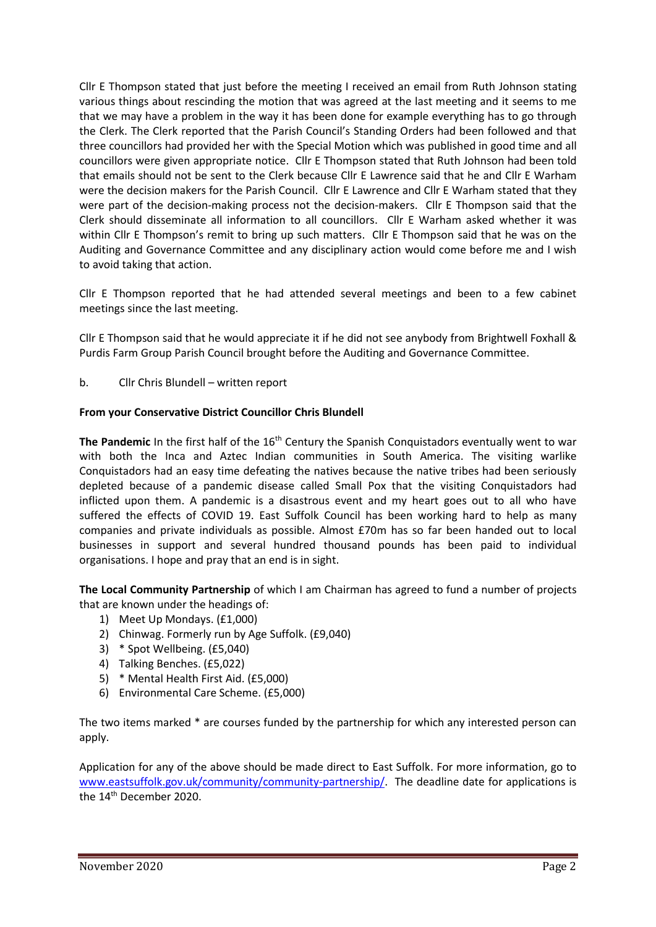Cllr E Thompson stated that just before the meeting I received an email from Ruth Johnson stating various things about rescinding the motion that was agreed at the last meeting and it seems to me that we may have a problem in the way it has been done for example everything has to go through the Clerk. The Clerk reported that the Parish Council's Standing Orders had been followed and that three councillors had provided her with the Special Motion which was published in good time and all councillors were given appropriate notice. Cllr E Thompson stated that Ruth Johnson had been told that emails should not be sent to the Clerk because Cllr E Lawrence said that he and Cllr E Warham were the decision makers for the Parish Council. Cllr E Lawrence and Cllr E Warham stated that they were part of the decision-making process not the decision-makers. Cllr E Thompson said that the Clerk should disseminate all information to all councillors. Cllr E Warham asked whether it was within Cllr E Thompson's remit to bring up such matters. Cllr E Thompson said that he was on the Auditing and Governance Committee and any disciplinary action would come before me and I wish to avoid taking that action.

Cllr E Thompson reported that he had attended several meetings and been to a few cabinet meetings since the last meeting.

Cllr E Thompson said that he would appreciate it if he did not see anybody from Brightwell Foxhall & Purdis Farm Group Parish Council brought before the Auditing and Governance Committee.

b. Cllr Chris Blundell – written report

### **From your Conservative District Councillor Chris Blundell**

**The Pandemic** In the first half of the 16<sup>th</sup> Century the Spanish Conquistadors eventually went to war with both the Inca and Aztec Indian communities in South America. The visiting warlike Conquistadors had an easy time defeating the natives because the native tribes had been seriously depleted because of a pandemic disease called Small Pox that the visiting Conquistadors had inflicted upon them. A pandemic is a disastrous event and my heart goes out to all who have suffered the effects of COVID 19. East Suffolk Council has been working hard to help as many companies and private individuals as possible. Almost £70m has so far been handed out to local businesses in support and several hundred thousand pounds has been paid to individual organisations. I hope and pray that an end is in sight.

**The Local Community Partnership** of which I am Chairman has agreed to fund a number of projects that are known under the headings of:

- 1) Meet Up Mondays. (£1,000)
- 2) Chinwag. Formerly run by Age Suffolk. (£9,040)
- 3) \* Spot Wellbeing. (£5,040)
- 4) Talking Benches. (£5,022)
- 5) \* Mental Health First Aid. (£5,000)
- 6) Environmental Care Scheme. (£5,000)

The two items marked \* are courses funded by the partnership for which any interested person can apply.

Application for any of the above should be made direct to East Suffolk. For more information, go to [www.eastsuffolk.gov.uk/community/community-partnership/.](http://www.eastsuffolk.gov.uk/community/community-partnership/) The deadline date for applications is the 14<sup>th</sup> December 2020.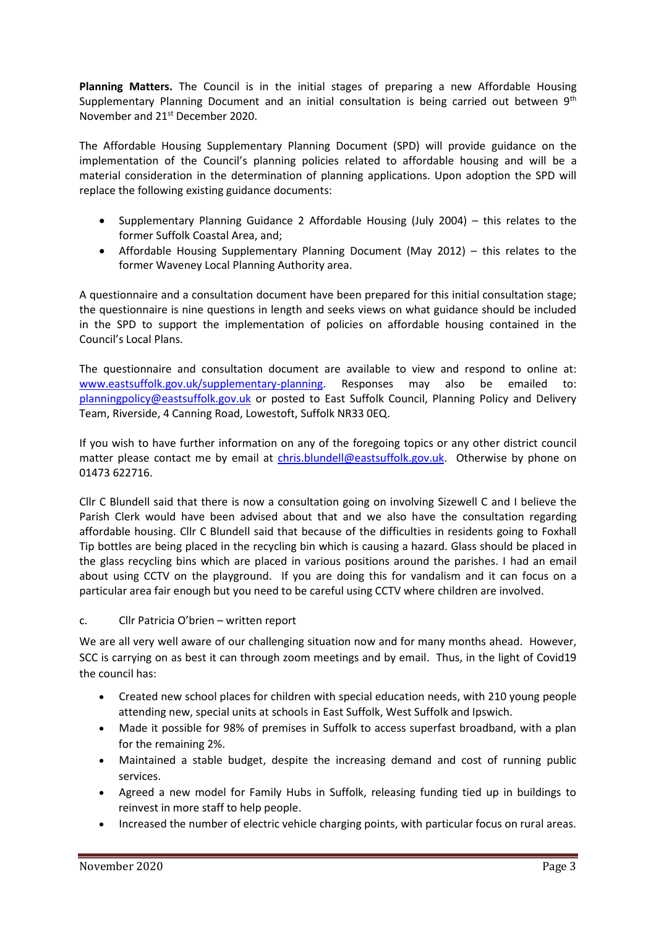**Planning Matters.** The Council is in the initial stages of preparing a new Affordable Housing Supplementary Planning Document and an initial consultation is being carried out between 9<sup>th</sup> November and 21st December 2020.

The Affordable Housing Supplementary Planning Document (SPD) will provide guidance on the implementation of the Council's planning policies related to affordable housing and will be a material consideration in the determination of planning applications. Upon adoption the SPD will replace the following existing guidance documents:

- Supplementary Planning Guidance 2 Affordable Housing (July 2004) this relates to the former Suffolk Coastal Area, and;
- Affordable Housing Supplementary Planning Document (May 2012) this relates to the former Waveney Local Planning Authority area.

A questionnaire and a consultation document have been prepared for this initial consultation stage; the questionnaire is nine questions in length and seeks views on what guidance should be included in the SPD to support the implementation of policies on affordable housing contained in the Council's Local Plans.

The questionnaire and consultation document are available to view and respond to online at: [www.eastsuffolk.gov.uk/supplementary-planning.](http://www.eastsuffolk.gov.uk/supplementary-planning) Responses may also be emailed to: [planningpolicy@eastsuffolk.gov.uk](mailto:planningpolicy@eastsuffolk.gov.uk) or posted to East Suffolk Council, Planning Policy and Delivery Team, Riverside, 4 Canning Road, Lowestoft, Suffolk NR33 0EQ.

If you wish to have further information on any of the foregoing topics or any other district council matter please contact me by email at [chris.blundell@eastsuffolk.gov.uk.](mailto:chris.blundell@eastsuffolk.gov.uk) Otherwise by phone on 01473 622716.

Cllr C Blundell said that there is now a consultation going on involving Sizewell C and I believe the Parish Clerk would have been advised about that and we also have the consultation regarding affordable housing. Cllr C Blundell said that because of the difficulties in residents going to Foxhall Tip bottles are being placed in the recycling bin which is causing a hazard. Glass should be placed in the glass recycling bins which are placed in various positions around the parishes. I had an email about using CCTV on the playground. If you are doing this for vandalism and it can focus on a particular area fair enough but you need to be careful using CCTV where children are involved.

# c. Cllr Patricia O'brien – written report

We are all very well aware of our challenging situation now and for many months ahead. However, SCC is carrying on as best it can through zoom meetings and by email. Thus, in the light of Covid19 the council has:

- Created new school places for children with special education needs, with 210 young people attending new, special units at schools in East Suffolk, West Suffolk and Ipswich.
- Made it possible for 98% of premises in Suffolk to access superfast broadband, with a plan for the remaining 2%.
- Maintained a stable budget, despite the increasing demand and cost of running public services.
- Agreed a new model for Family Hubs in Suffolk, releasing funding tied up in buildings to reinvest in more staff to help people.
- Increased the number of electric vehicle charging points, with particular focus on rural areas.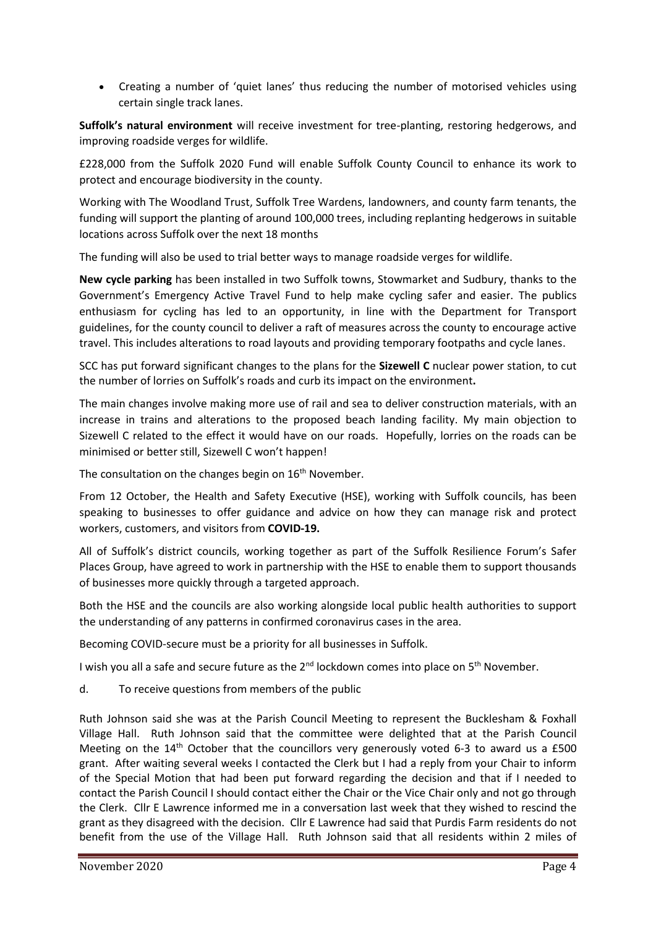• Creating a number of 'quiet lanes' thus reducing the number of motorised vehicles using certain single track lanes.

**Suffolk's natural environment** will receive investment for tree-planting, restoring hedgerows, and improving roadside verges for wildlife.

£228,000 from the Suffolk 2020 Fund will enable Suffolk County Council to enhance its work to protect and encourage biodiversity in the county.

Working with The Woodland Trust, Suffolk Tree Wardens, landowners, and county farm tenants, the funding will support the planting of around 100,000 trees, including replanting hedgerows in suitable locations across Suffolk over the next 18 months

The funding will also be used to trial better ways to manage roadside verges for wildlife.

**New cycle parking** has been installed in two Suffolk towns, Stowmarket and Sudbury, thanks to the Government's Emergency Active Travel Fund to help make cycling safer and easier. The publics enthusiasm for cycling has led to an opportunity, in line with the Department for Transport guidelines, for the county council to deliver a raft of measures across the county to encourage active travel. This includes alterations to road layouts and providing temporary footpaths and cycle lanes.

SCC has put forward significant changes to the plans for the **Sizewell C** nuclear power station, to cut the number of lorries on Suffolk's roads and curb its impact on the environment**.**

The main changes involve making more use of rail and sea to deliver construction materials, with an increase in trains and alterations to the proposed beach landing facility. My main objection to Sizewell C related to the effect it would have on our roads. Hopefully, lorries on the roads can be minimised or better still, Sizewell C won't happen!

The consultation on the changes begin on 16<sup>th</sup> November.

From 12 October, the Health and Safety Executive (HSE), working with Suffolk councils, has been speaking to businesses to offer guidance and advice on how they can manage risk and protect workers, customers, and visitors from **COVID-19.**

All of Suffolk's district councils, working together as part of the Suffolk Resilience Forum's Safer Places Group, have agreed to work in partnership with the HSE to enable them to support thousands of businesses more quickly through a targeted approach.

Both the HSE and the councils are also working alongside local public health authorities to support the understanding of any patterns in confirmed coronavirus cases in the area.

Becoming COVID-secure must be a priority for all businesses in Suffolk.

I wish you all a safe and secure future as the  $2<sup>nd</sup>$  lockdown comes into place on  $5<sup>th</sup>$  November.

d. To receive questions from members of the public

Ruth Johnson said she was at the Parish Council Meeting to represent the Bucklesham & Foxhall Village Hall. Ruth Johnson said that the committee were delighted that at the Parish Council Meeting on the 14<sup>th</sup> October that the councillors very generously voted 6-3 to award us a £500 grant. After waiting several weeks I contacted the Clerk but I had a reply from your Chair to inform of the Special Motion that had been put forward regarding the decision and that if I needed to contact the Parish Council I should contact either the Chair or the Vice Chair only and not go through the Clerk. Cllr E Lawrence informed me in a conversation last week that they wished to rescind the grant as they disagreed with the decision. Cllr E Lawrence had said that Purdis Farm residents do not benefit from the use of the Village Hall. Ruth Johnson said that all residents within 2 miles of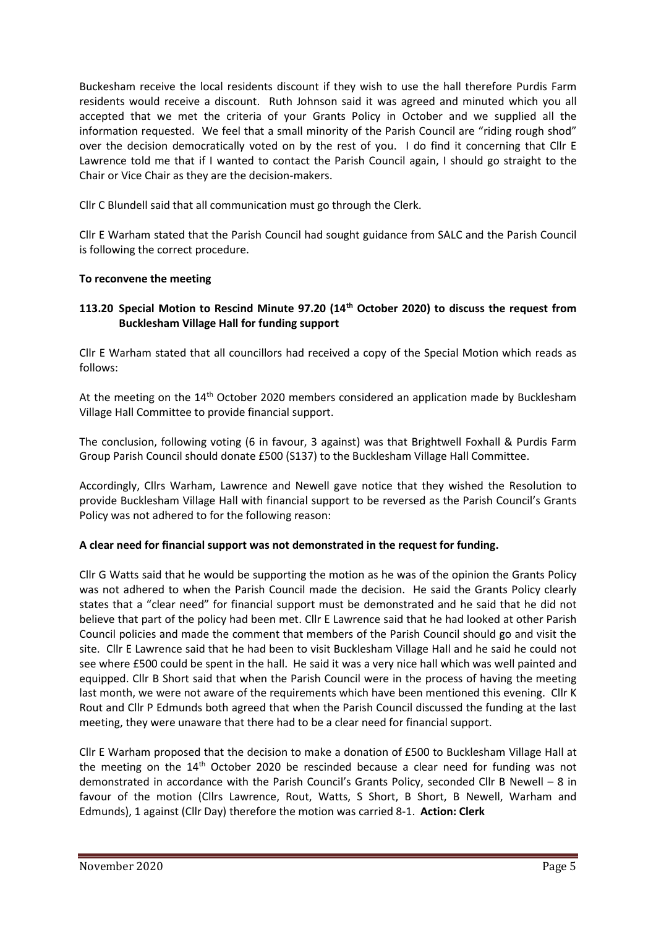Buckesham receive the local residents discount if they wish to use the hall therefore Purdis Farm residents would receive a discount. Ruth Johnson said it was agreed and minuted which you all accepted that we met the criteria of your Grants Policy in October and we supplied all the information requested. We feel that a small minority of the Parish Council are "riding rough shod" over the decision democratically voted on by the rest of you. I do find it concerning that Cllr E Lawrence told me that if I wanted to contact the Parish Council again, I should go straight to the Chair or Vice Chair as they are the decision-makers.

Cllr C Blundell said that all communication must go through the Clerk.

Cllr E Warham stated that the Parish Council had sought guidance from SALC and the Parish Council is following the correct procedure.

# **To reconvene the meeting**

# **113.20 Special Motion to Rescind Minute 97.20 (14th October 2020) to discuss the request from Bucklesham Village Hall for funding support**

Cllr E Warham stated that all councillors had received a copy of the Special Motion which reads as follows:

At the meeting on the 14<sup>th</sup> October 2020 members considered an application made by Bucklesham Village Hall Committee to provide financial support.

The conclusion, following voting (6 in favour, 3 against) was that Brightwell Foxhall & Purdis Farm Group Parish Council should donate £500 (S137) to the Bucklesham Village Hall Committee.

Accordingly, Cllrs Warham, Lawrence and Newell gave notice that they wished the Resolution to provide Bucklesham Village Hall with financial support to be reversed as the Parish Council's Grants Policy was not adhered to for the following reason:

# **A clear need for financial support was not demonstrated in the request for funding.**

Cllr G Watts said that he would be supporting the motion as he was of the opinion the Grants Policy was not adhered to when the Parish Council made the decision. He said the Grants Policy clearly states that a "clear need" for financial support must be demonstrated and he said that he did not believe that part of the policy had been met. Cllr E Lawrence said that he had looked at other Parish Council policies and made the comment that members of the Parish Council should go and visit the site. Cllr E Lawrence said that he had been to visit Bucklesham Village Hall and he said he could not see where £500 could be spent in the hall. He said it was a very nice hall which was well painted and equipped. Cllr B Short said that when the Parish Council were in the process of having the meeting last month, we were not aware of the requirements which have been mentioned this evening. Cllr K Rout and Cllr P Edmunds both agreed that when the Parish Council discussed the funding at the last meeting, they were unaware that there had to be a clear need for financial support.

Cllr E Warham proposed that the decision to make a donation of £500 to Bucklesham Village Hall at the meeting on the  $14<sup>th</sup>$  October 2020 be rescinded because a clear need for funding was not demonstrated in accordance with the Parish Council's Grants Policy, seconded Cllr B Newell – 8 in favour of the motion (Cllrs Lawrence, Rout, Watts, S Short, B Short, B Newell, Warham and Edmunds), 1 against (Cllr Day) therefore the motion was carried 8-1. **Action: Clerk**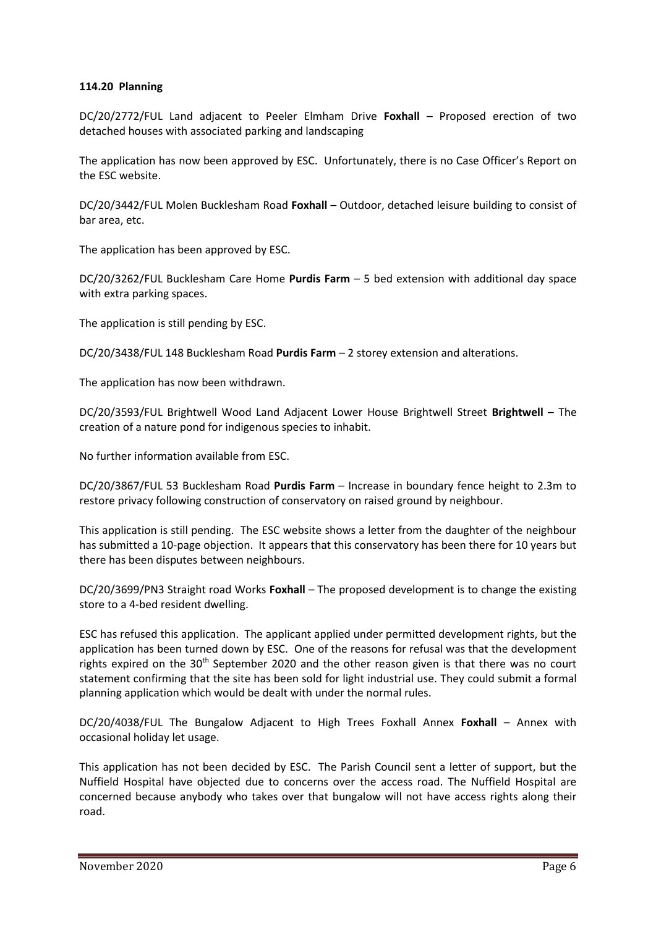### **114.20 Planning**

DC/20/2772/FUL Land adjacent to Peeler Elmham Drive **Foxhall** – Proposed erection of two detached houses with associated parking and landscaping

The application has now been approved by ESC. Unfortunately, there is no Case Officer's Report on the ESC website.

DC/20/3442/FUL Molen Bucklesham Road **Foxhall** – Outdoor, detached leisure building to consist of bar area, etc.

The application has been approved by ESC.

DC/20/3262/FUL Bucklesham Care Home **Purdis Farm** – 5 bed extension with additional day space with extra parking spaces.

The application is still pending by ESC.

DC/20/3438/FUL 148 Bucklesham Road **Purdis Farm** – 2 storey extension and alterations.

The application has now been withdrawn.

DC/20/3593/FUL Brightwell Wood Land Adjacent Lower House Brightwell Street **Brightwell** – The creation of a nature pond for indigenous species to inhabit.

No further information available from ESC.

DC/20/3867/FUL 53 Bucklesham Road **Purdis Farm** – Increase in boundary fence height to 2.3m to restore privacy following construction of conservatory on raised ground by neighbour.

This application is still pending. The ESC website shows a letter from the daughter of the neighbour has submitted a 10-page objection. It appears that this conservatory has been there for 10 years but there has been disputes between neighbours.

DC/20/3699/PN3 Straight road Works **Foxhall** – The proposed development is to change the existing store to a 4-bed resident dwelling.

ESC has refused this application. The applicant applied under permitted development rights, but the application has been turned down by ESC. One of the reasons for refusal was that the development rights expired on the  $30<sup>th</sup>$  September 2020 and the other reason given is that there was no court statement confirming that the site has been sold for light industrial use. They could submit a formal planning application which would be dealt with under the normal rules.

DC/20/4038/FUL The Bungalow Adjacent to High Trees Foxhall Annex **Foxhall** – Annex with occasional holiday let usage.

This application has not been decided by ESC. The Parish Council sent a letter of support, but the Nuffield Hospital have objected due to concerns over the access road. The Nuffield Hospital are concerned because anybody who takes over that bungalow will not have access rights along their road.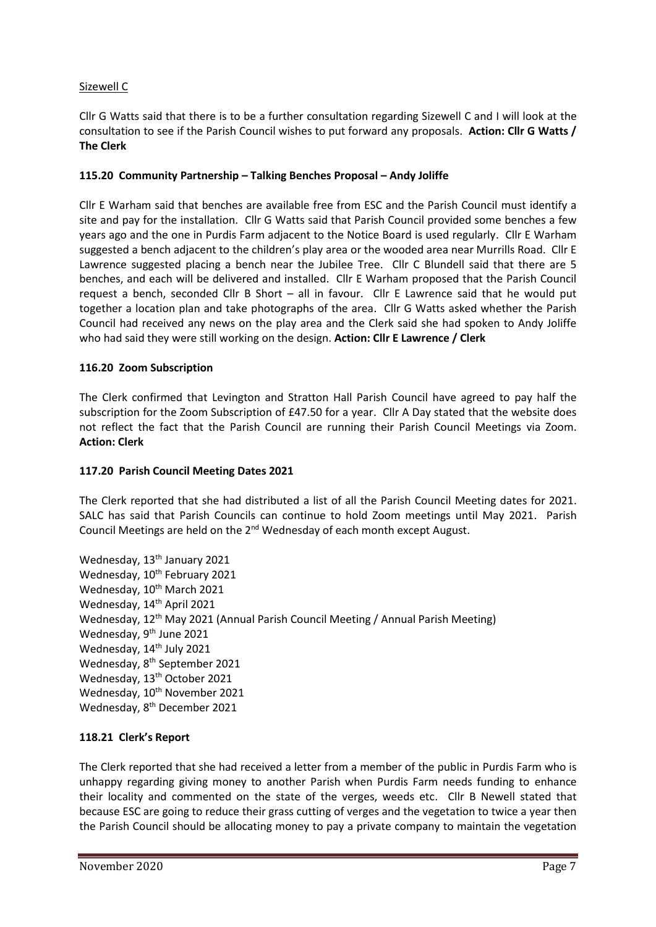# Sizewell C

Cllr G Watts said that there is to be a further consultation regarding Sizewell C and I will look at the consultation to see if the Parish Council wishes to put forward any proposals. **Action: Cllr G Watts / The Clerk**

# **115.20 Community Partnership – Talking Benches Proposal – Andy Joliffe**

Cllr E Warham said that benches are available free from ESC and the Parish Council must identify a site and pay for the installation. Cllr G Watts said that Parish Council provided some benches a few years ago and the one in Purdis Farm adjacent to the Notice Board is used regularly. Cllr E Warham suggested a bench adjacent to the children's play area or the wooded area near Murrills Road. Cllr E Lawrence suggested placing a bench near the Jubilee Tree. Cllr C Blundell said that there are 5 benches, and each will be delivered and installed. Cllr E Warham proposed that the Parish Council request a bench, seconded Cllr B Short – all in favour. Cllr E Lawrence said that he would put together a location plan and take photographs of the area. Cllr G Watts asked whether the Parish Council had received any news on the play area and the Clerk said she had spoken to Andy Joliffe who had said they were still working on the design. **Action: Cllr E Lawrence / Clerk**

# **116.20 Zoom Subscription**

The Clerk confirmed that Levington and Stratton Hall Parish Council have agreed to pay half the subscription for the Zoom Subscription of £47.50 for a year. Cllr A Day stated that the website does not reflect the fact that the Parish Council are running their Parish Council Meetings via Zoom. **Action: Clerk**

#### **117.20 Parish Council Meeting Dates 2021**

The Clerk reported that she had distributed a list of all the Parish Council Meeting dates for 2021. SALC has said that Parish Councils can continue to hold Zoom meetings until May 2021. Parish Council Meetings are held on the  $2^{nd}$  Wednesday of each month except August.

Wednesday, 13<sup>th</sup> January 2021 Wednesday, 10<sup>th</sup> February 2021 Wednesday, 10<sup>th</sup> March 2021 Wednesday, 14<sup>th</sup> April 2021 Wednesday, 12<sup>th</sup> May 2021 (Annual Parish Council Meeting / Annual Parish Meeting) Wednesday, 9<sup>th</sup> June 2021 Wednesday, 14<sup>th</sup> July 2021 Wednesday, 8<sup>th</sup> September 2021 Wednesday, 13<sup>th</sup> October 2021 Wednesday, 10<sup>th</sup> November 2021 Wednesday, 8<sup>th</sup> December 2021

# **118.21 Clerk's Report**

The Clerk reported that she had received a letter from a member of the public in Purdis Farm who is unhappy regarding giving money to another Parish when Purdis Farm needs funding to enhance their locality and commented on the state of the verges, weeds etc. Cllr B Newell stated that because ESC are going to reduce their grass cutting of verges and the vegetation to twice a year then the Parish Council should be allocating money to pay a private company to maintain the vegetation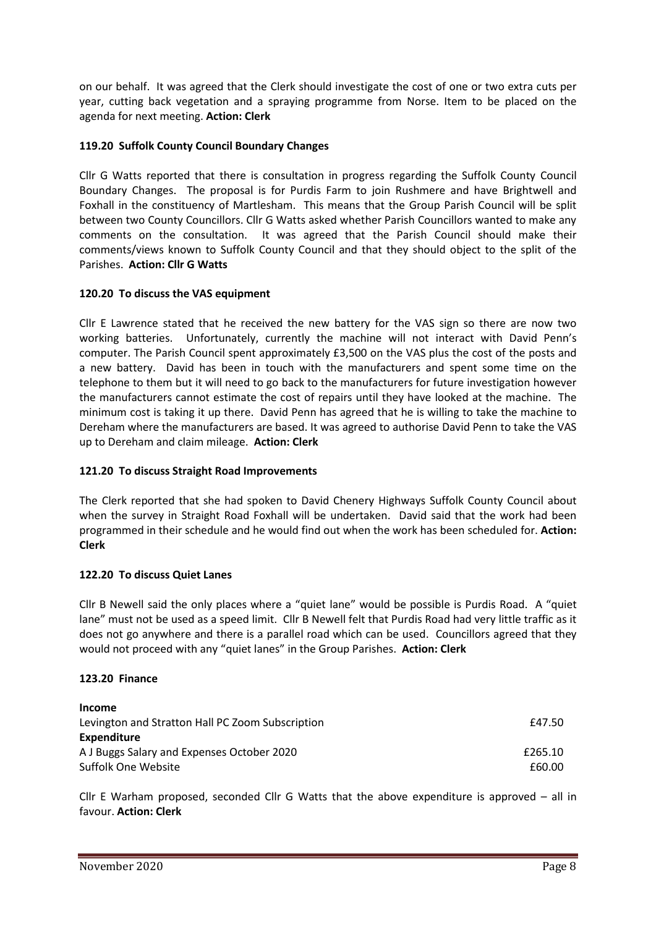on our behalf. It was agreed that the Clerk should investigate the cost of one or two extra cuts per year, cutting back vegetation and a spraying programme from Norse. Item to be placed on the agenda for next meeting. **Action: Clerk**

# **119.20 Suffolk County Council Boundary Changes**

Cllr G Watts reported that there is consultation in progress regarding the Suffolk County Council Boundary Changes. The proposal is for Purdis Farm to join Rushmere and have Brightwell and Foxhall in the constituency of Martlesham. This means that the Group Parish Council will be split between two County Councillors. Cllr G Watts asked whether Parish Councillors wanted to make any comments on the consultation. It was agreed that the Parish Council should make their comments/views known to Suffolk County Council and that they should object to the split of the Parishes. **Action: Cllr G Watts**

# **120.20 To discuss the VAS equipment**

Cllr E Lawrence stated that he received the new battery for the VAS sign so there are now two working batteries. Unfortunately, currently the machine will not interact with David Penn's computer. The Parish Council spent approximately £3,500 on the VAS plus the cost of the posts and a new battery. David has been in touch with the manufacturers and spent some time on the telephone to them but it will need to go back to the manufacturers for future investigation however the manufacturers cannot estimate the cost of repairs until they have looked at the machine. The minimum cost is taking it up there. David Penn has agreed that he is willing to take the machine to Dereham where the manufacturers are based. It was agreed to authorise David Penn to take the VAS up to Dereham and claim mileage. **Action: Clerk**

# **121.20 To discuss Straight Road Improvements**

The Clerk reported that she had spoken to David Chenery Highways Suffolk County Council about when the survey in Straight Road Foxhall will be undertaken. David said that the work had been programmed in their schedule and he would find out when the work has been scheduled for. **Action: Clerk**

# **122.20 To discuss Quiet Lanes**

Cllr B Newell said the only places where a "quiet lane" would be possible is Purdis Road. A "quiet lane" must not be used as a speed limit. Cllr B Newell felt that Purdis Road had very little traffic as it does not go anywhere and there is a parallel road which can be used. Councillors agreed that they would not proceed with any "quiet lanes" in the Group Parishes. **Action: Clerk**

# **123.20 Finance**

| <b>Income</b>                                    |         |
|--------------------------------------------------|---------|
| Levington and Stratton Hall PC Zoom Subscription | £47.50  |
| <b>Expenditure</b>                               |         |
| A J Buggs Salary and Expenses October 2020       | £265.10 |
| Suffolk One Website                              | £60.00  |

Cllr E Warham proposed, seconded Cllr G Watts that the above expenditure is approved – all in favour. **Action: Clerk**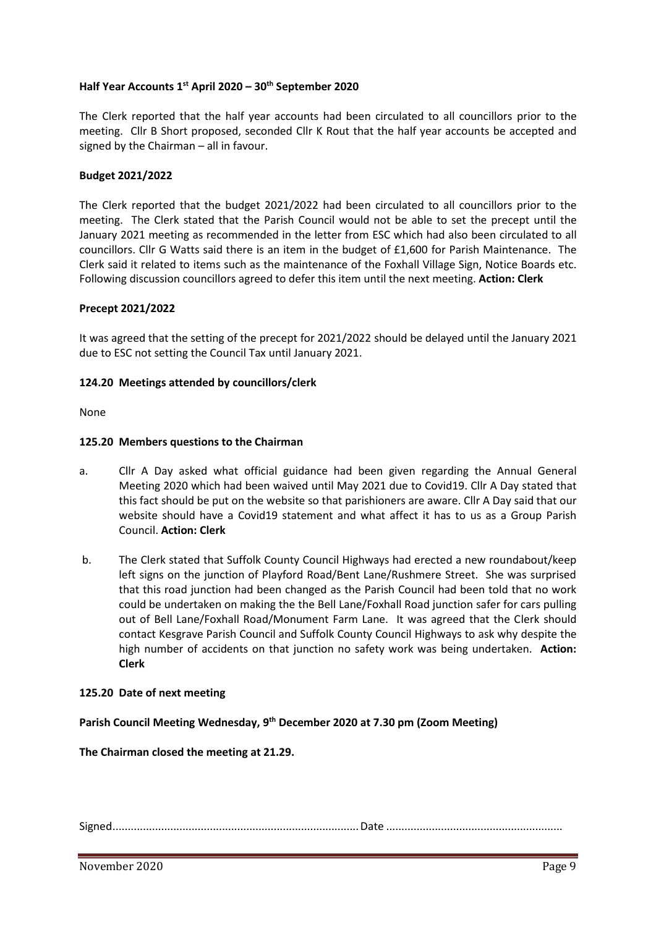# **Half Year Accounts 1st April 2020 – 30th September 2020**

The Clerk reported that the half year accounts had been circulated to all councillors prior to the meeting. Cllr B Short proposed, seconded Cllr K Rout that the half year accounts be accepted and signed by the Chairman – all in favour.

#### **Budget 2021/2022**

The Clerk reported that the budget 2021/2022 had been circulated to all councillors prior to the meeting. The Clerk stated that the Parish Council would not be able to set the precept until the January 2021 meeting as recommended in the letter from ESC which had also been circulated to all councillors. Cllr G Watts said there is an item in the budget of £1,600 for Parish Maintenance. The Clerk said it related to items such as the maintenance of the Foxhall Village Sign, Notice Boards etc. Following discussion councillors agreed to defer this item until the next meeting. **Action: Clerk**

#### **Precept 2021/2022**

It was agreed that the setting of the precept for 2021/2022 should be delayed until the January 2021 due to ESC not setting the Council Tax until January 2021.

### **124.20 Meetings attended by councillors/clerk**

None

### **125.20 Members questions to the Chairman**

- a. Cllr A Day asked what official guidance had been given regarding the Annual General Meeting 2020 which had been waived until May 2021 due to Covid19. Cllr A Day stated that this fact should be put on the website so that parishioners are aware. Cllr A Day said that our website should have a Covid19 statement and what affect it has to us as a Group Parish Council. **Action: Clerk**
- b. The Clerk stated that Suffolk County Council Highways had erected a new roundabout/keep left signs on the junction of Playford Road/Bent Lane/Rushmere Street. She was surprised that this road junction had been changed as the Parish Council had been told that no work could be undertaken on making the the Bell Lane/Foxhall Road junction safer for cars pulling out of Bell Lane/Foxhall Road/Monument Farm Lane. It was agreed that the Clerk should contact Kesgrave Parish Council and Suffolk County Council Highways to ask why despite the high number of accidents on that junction no safety work was being undertaken. **Action: Clerk**

#### **125.20 Date of next meeting**

**Parish Council Meeting Wednesday, 9 th December 2020 at 7.30 pm (Zoom Meeting)**

**The Chairman closed the meeting at 21.29.**

Signed.................................................................................Date ..........................................................